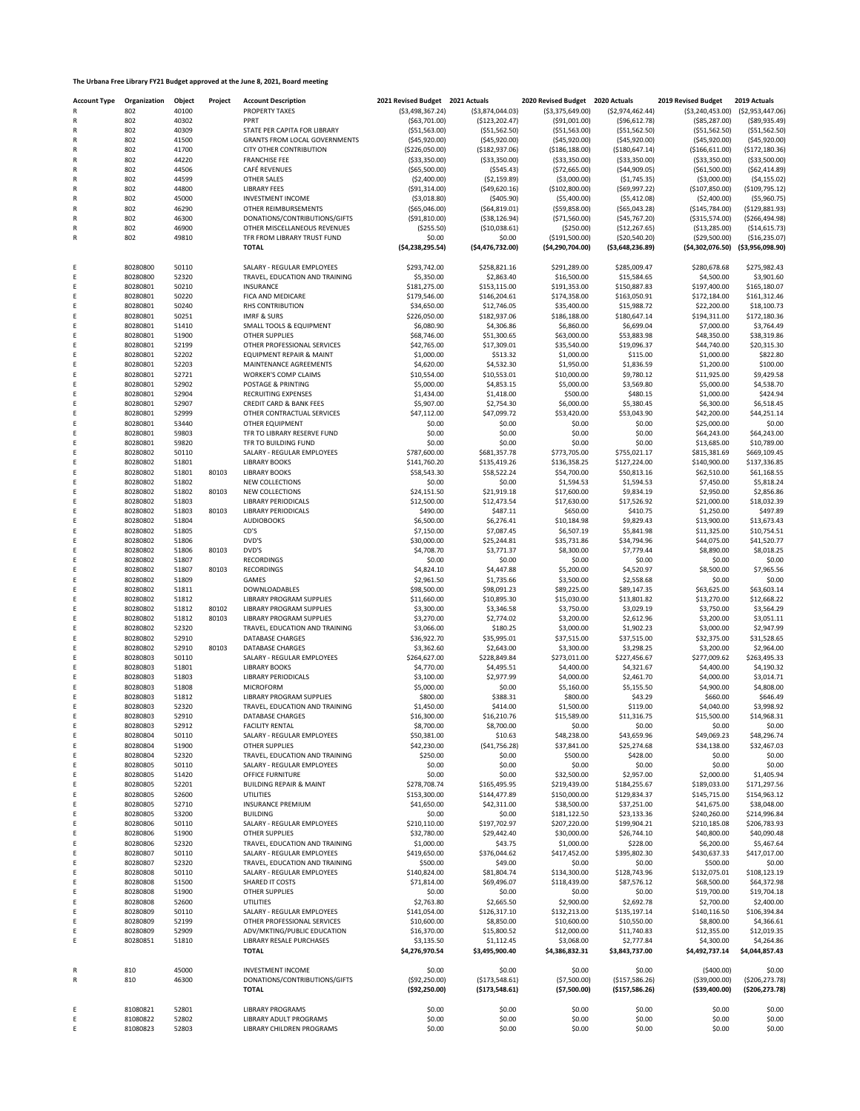## **The Urbana Free Library FY21 Budget approved at the June 8, 2021, Board meeting**

| <b>Account Type</b> | Organization | Object | Project | <b>Account Description</b>         | 2021 Revised Budget 2021 Actuals |                   | 2020 Revised Budget 2020 Actuals |                   | 2019 Revised Budget 2019 Actuals |                   |
|---------------------|--------------|--------|---------|------------------------------------|----------------------------------|-------------------|----------------------------------|-------------------|----------------------------------|-------------------|
|                     | 802          | 40100  |         | PROPERTY TAXES                     | ( \$3,498,367.24)                | ( \$3,874,044.03) | ( \$3,375,649.00)                | (\$2,974,462.44)  | ( \$3, 240, 453.00)              | ( \$2,953,447.06) |
|                     | 802          | 40302  |         | PPRT                               | ( \$63,701.00)                   | ( \$123, 202.47)  | ( \$91,001.00)                   | ( \$96, 612.78)   | ( \$85, 287.00)                  | ( \$89, 935.49)   |
| $\mathsf{R}$        | 802          | 40309  |         | STATE PER CAPITA FOR LIBRARY       | ( \$51, 563.00)                  | ( \$51, 562.50)   | ( \$51, 563.00)                  | ( \$51, 562.50)   | ( \$51, 562.50)                  | ( \$51,562.50)    |
| R                   | 802          | 41500  |         | GRANTS FROM LOCAL GOVERNMENTS      | ( \$45,920.00)                   | ( \$45,920.00)    | ( \$45, 920.00)                  | ( \$45, 920.00)   | ( \$45, 920.00)                  | ( \$45,920.00]    |
| R                   | 802          | 41700  |         | CITY OTHER CONTRIBUTION            | (\$226,050.00)                   | ( \$182, 937.06)  | ( \$186, 188.00)                 | ( \$180, 647.14)  | ( \$166, 611.00)                 | ( \$172, 180.36)  |
| R                   | 802          | 44220  |         | <b>FRANCHISE FEE</b>               | ( \$33,350.00)                   | ( \$33,350.00)    | ( \$33,350.00)                   | ( \$33,350.00)    | ( \$33, 350.00)                  | ( \$33,500.00)    |
| R                   | 802          | 44506  |         | CAFÉ REVENUES                      | ( \$65,500.00)                   | ( \$545.43)       | (\$72,665.00)                    | $($ \$44,909.05)  | ( \$61,500.00)                   | ( \$62, 414.89)   |
| R                   | 802          | 44599  |         | OTHER SALES                        | ( \$2,400.00)                    | ( \$2,159.89)     | ( \$3,000.00)                    | (\$1,745.35)      | ( \$3,000.00)                    | (54, 155.02)      |
| R                   | 802          | 44800  |         | <b>LIBRARY FEES</b>                | ( \$91,314.00)                   | ( \$49,620.16)    | (\$102,800.00)                   | ( \$69,997.22)    | (\$107,850.00)                   | ( \$109, 795.12)  |
| R                   | 802          | 45000  |         | <b>INVESTMENT INCOME</b>           | ( \$3,018.80)                    | (\$405.90)        | ( \$5,400.00)                    | (55, 412.08)      | (\$2,400.00)                     | ( \$5,960.75)     |
| R                   | 802          | 46290  |         | OTHER REIMBURSEMENTS               | ( \$65,046.00)                   | ( \$64, 819.01)   | ( \$59, 858.00)                  | ( \$65,043.28)    | (\$145,784.00)                   | ( \$129, 881.93)  |
| R                   | 802          | 46300  |         | DONATIONS/CONTRIBUTIONS/GIFTS      | ( \$91, 810.00)                  | ( \$38, 126.94)   | ( \$71,560.00)                   | ( \$45,767.20)    | ( \$315, 574.00)                 | ( \$266, 494.98)  |
| R                   | 802          | 46900  |         | OTHER MISCELLANEOUS REVENUES       | ( \$255.50)                      | ( \$10,038.61)    | (\$250.00)                       | ( \$12, 267.65)   | ( \$13, 285.00)                  | ( \$14,615.73)    |
| R                   | 802          | 49810  |         | TFR FROM LIBRARY TRUST FUND        | \$0.00<br>(54, 238, 295.54)      | \$0.00            | ( \$191,500.00)                  | ( \$20,540.20)    | ( \$29,500.00)                   | (\$16,235.07)     |
|                     |              |        |         | <b>TOTAL</b>                       |                                  | ( \$4,476,732.00) | ( \$4,290,704.00)                | ( \$3,648,236.89) | ( \$4,302,076.50)                | ( \$3,956,098.90) |
| Ε                   | 80280800     | 50110  |         | SALARY - REGULAR EMPLOYEES         | \$293,742.00                     | \$258,821.16      | \$291,289.00                     | \$285,009.47      | \$280,678.68                     | \$275,982.43      |
| Ε                   | 80280800     | 52320  |         | TRAVEL, EDUCATION AND TRAINING     | \$5,350.00                       | \$2,863.40        | \$16,500.00                      | \$15,584.65       | \$4,500.00                       | \$3,901.60        |
| Ε                   | 80280801     | 50210  |         | INSURANCE                          | \$181,275.00                     | \$153,115.00      | \$191,353.00                     | \$150,887.83      | \$197,400.00                     | \$165,180.07      |
| Ε                   | 80280801     | 50220  |         | FICA AND MEDICARE                  | \$179,546.00                     | \$146,204.61      | \$174,358.00                     | \$163,050.91      | \$172,184.00                     | \$161,312.46      |
| E                   | 80280801     | 50240  |         | RHS CONTRIBUTION                   | \$34,650.00                      | \$12,746.05       | \$35,400.00                      | \$15,988.72       | \$22,200.00                      | \$18,100.73       |
| Ε                   | 80280801     | 50251  |         | <b>IMRF &amp; SURS</b>             | \$226,050.00                     | \$182,937.06      | \$186,188.00                     | \$180,647.14      | \$194,311.00                     | \$172,180.36      |
| Ε                   | 80280801     | 51410  |         | SMALL TOOLS & EQUIPMENT            | \$6,080.90                       | \$4,306.86        | \$6,860.00                       | \$6,699.04        | \$7,000.00                       | \$3,764.49        |
| E                   | 80280801     | 51900  |         | <b>OTHER SUPPLIES</b>              | \$68,746.00                      | \$51,300.65       | \$63,000.00                      | \$53,883.98       | \$48,350.00                      | \$38,319.86       |
| E                   | 80280801     | 52199  |         | OTHER PROFESSIONAL SERVICES        | \$42,765.00                      | \$17,309.01       | \$35,540.00                      | \$19,096.37       | \$44,740.00                      | \$20,315.30       |
| E                   | 80280801     | 52202  |         | EQUIPMENT REPAIR & MAINT           | \$1,000.00                       | \$513.32          | \$1,000.00                       | \$115.00          | \$1,000.00                       | \$822.80          |
| E                   | 80280801     | 52203  |         | MAINTENANCE AGREEMENTS             | \$4,620.00                       | \$4,532.30        | \$1,950.00                       | \$1,836.59        | \$1,200.00                       | \$100.00          |
| E                   | 80280801     | 52721  |         | <b>WORKER'S COMP CLAIMS</b>        | \$10,554.00                      | \$10,553.01       | \$10,000.00                      | \$9,780.12        | \$11,925.00                      | \$9,429.58        |
| Ε                   | 80280801     | 52902  |         | POSTAGE & PRINTING                 | \$5,000.00                       | \$4,853.15        | \$5,000.00                       | \$3,569.80        | \$5,000.00                       | \$4,538.70        |
| E                   | 80280801     | 52904  |         | RECRUITING EXPENSES                | \$1,434.00                       | \$1,418.00        | \$500.00                         | \$480.15          | \$1,000.00                       | \$424.94          |
| E                   | 80280801     | 52907  |         | <b>CREDIT CARD &amp; BANK FEES</b> | \$5,907.00                       | \$2,754.30        | \$6,000.00                       | \$5,380.45        | \$6,300.00                       | \$6,518.45        |
| E                   | 80280801     | 52999  |         | OTHER CONTRACTUAL SERVICES         | \$47,112.00                      | \$47,099.72       | \$53,420.00                      | \$53,043.90       | \$42,200.00                      | \$44,251.14       |
| E                   | 80280801     | 53440  |         | OTHER EQUIPMENT                    | \$0.00                           | \$0.00            | \$0.00                           | \$0.00            | \$25,000.00                      | \$0.00            |
| Ε                   | 80280801     | 59803  |         | TFR TO LIBRARY RESERVE FUND        | \$0.00                           | \$0.00            | \$0.00                           | \$0.00            | \$64,243.00                      | \$64,243.00       |
| E                   | 80280801     | 59820  |         | TFR TO BUILDING FUND               | \$0.00                           | \$0.00            | \$0.00                           | \$0.00            | \$13,685.00                      | \$10,789.00       |
| E                   | 80280802     | 50110  |         | SALARY - REGULAR EMPLOYEES         | \$787,600.00                     | \$681,357.78      | \$773,705.00                     | \$755,021.17      | \$815,381.69                     | \$669,109.45      |
| E                   | 80280802     | 51801  |         | <b>LIBRARY BOOKS</b>               | \$141,760.20                     | \$135,419.26      | \$136,358.25                     | \$127,224.00      | \$140,900.00                     | \$137,336.85      |
| E                   | 80280802     | 51801  | 80103   | <b>LIBRARY BOOKS</b>               | \$58,543.30                      | \$58,522.24       | \$54,700.00                      | \$50,813.16       | \$62,510.00                      | \$61,168.55       |
| E                   | 80280802     | 51802  |         | NEW COLLECTIONS                    | \$0.00                           | \$0.00            | \$1,594.53                       | \$1,594.53        | \$7,450.00                       | \$5,818.24        |
| E                   | 80280802     | 51802  | 80103   | NEW COLLECTIONS                    | \$24,151.50                      | \$21,919.18       | \$17,600.00                      | \$9,834.19        | \$2,950.00                       | \$2,856.86        |
| E                   | 80280802     | 51803  |         | <b>LIBRARY PERIODICALS</b>         | \$12,500.00                      | \$12,473.54       | \$17,630.00                      | \$17,526.92       | \$21,000.00                      | \$18,032.39       |
| E                   | 80280802     | 51803  | 80103   | <b>LIBRARY PERIODICALS</b>         | \$490.00                         | \$487.11          | \$650.00                         | \$410.75          | \$1,250.00                       | \$497.89          |
| E                   | 80280802     | 51804  |         | <b>AUDIOBOOKS</b>                  | \$6,500.00                       | \$6,276.41        | \$10,184.98                      | \$9,829.43        | \$13,900.00                      | \$13,673.43       |
| E                   | 80280802     | 51805  |         | CD'S                               | \$7,150.00                       | \$7,087.45        | \$6,507.19                       | \$5,841.98        | \$11,325.00                      | \$10,754.51       |
| E                   | 80280802     | 51806  |         | DVD'S                              | \$30,000.00                      | \$25,244.81       | \$35,731.86                      | \$34,794.96       | \$44,075.00                      | \$41,520.77       |
| E                   | 80280802     | 51806  | 80103   | DVD'S                              | \$4,708.70                       | \$3,771.37        | \$8,300.00                       | \$7,779.44        | \$8,890.00                       | \$8,018.25        |
| E                   | 80280802     | 51807  |         | <b>RECORDINGS</b>                  | \$0.00                           | \$0.00            | \$0.00                           | \$0.00            | \$0.00                           | \$0.00            |
| Ε                   | 80280802     | 51807  | 80103   | <b>RECORDINGS</b>                  | \$4,824.10                       | \$4,447.88        | \$5,200.00                       | \$4,520.97        | \$8,500.00                       | \$7,965.56        |
| E                   | 80280802     | 51809  |         | GAMES                              | \$2,961.50                       | \$1,735.66        | \$3,500.00                       | \$2,558.68        | \$0.00                           | \$0.00            |
| Ε                   | 80280802     | 51811  |         | DOWNLOADABLES                      | \$98,500.00                      | \$98,091.23       | \$89,225.00                      | \$89,147.35       | \$63,625.00                      | \$63,603.14       |
| E                   | 80280802     | 51812  |         | LIBRARY PROGRAM SUPPLIES           | \$11,660.00                      | \$10,895.30       | \$15,030.00                      | \$13,801.82       | \$13,270.00                      | \$12,668.22       |
| E                   | 80280802     | 51812  | 80102   | LIBRARY PROGRAM SUPPLIES           | \$3,300.00                       | \$3,346.58        | \$3,750.00                       | \$3,029.19        | \$3,750.00                       | \$3,564.29        |
| Ε                   | 80280802     | 51812  | 80103   | LIBRARY PROGRAM SUPPLIES           | \$3,270.00                       | \$2,774.02        | \$3,200.00                       | \$2,612.96        | \$3,200.00                       | \$3,051.11        |
| Ε                   | 80280802     | 52320  |         | TRAVEL, EDUCATION AND TRAINING     | \$3,066.00                       | \$180.25          | \$3,000.00                       | \$1,902.23        | \$3,000.00                       | \$2,947.99        |
| E                   | 80280802     | 52910  |         | <b>DATABASE CHARGES</b>            | \$36,922.70                      | \$35,995.01       | \$37,515.00                      | \$37,515.00       | \$32,375.00                      | \$31,528.65       |
| E                   | 80280802     | 52910  | 80103   | DATABASE CHARGES                   | \$3,362.60                       | \$2,643.00        | \$3,300.00                       | \$3,298.25        | \$3,200.00                       | \$2,964.00        |
| E                   | 80280803     | 50110  |         | SALARY - REGULAR EMPLOYEES         | \$264,627.00                     | \$228,849.84      | \$273,011.00                     | \$227,456.67      | \$277,009.62                     | \$263,495.33      |
| E                   | 80280803     | 51801  |         | <b>LIBRARY BOOKS</b>               | \$4,770.00                       | \$4,495.51        | \$4,400.00                       | \$4,321.67        | \$4,400.00                       | \$4,190.32        |
| Е                   | 80280803     | 51803  |         | <b>LIBRARY PERIODICALS</b>         | \$3,100.00                       | \$2,977.99        | \$4,000.00                       | \$2,461.70        | \$4,000.00                       | \$3,014.71        |
| E                   | 80280803     | 51808  |         | <b>MICROFORM</b>                   | \$5,000.00                       | \$0.00            | \$5,160.00                       | \$5,155.50        | \$4,900.00                       | \$4,808.00        |
| E                   | 80280803     | 51812  |         | LIBRARY PROGRAM SUPPLIES           | \$800.00                         | \$388.31          | \$800.00                         | \$43.29           | \$660.00                         | \$646.49          |
| E                   | 80280803     | 52320  |         | TRAVEL, EDUCATION AND TRAINING     | \$1,450.00                       | \$414.00          | \$1,500.00                       | \$119.00          | \$4,040,00                       | \$3,998.92        |
| Е                   | 80280803     | 52910  |         | DATABASE CHARGES                   | \$16,300.00                      | \$16,210.76       | \$15,589.00                      | \$11,316.75       | \$15,500.00                      | \$14,968.31       |
| Ε                   | 80280803     | 52912  |         | <b>FACILITY RENTAL</b>             | \$8,700.00                       | \$8,700.00        | \$0.00                           | \$0.00            | \$0.00                           | \$0.00            |
| E                   | 80280804     | 50110  |         | SALARY - REGULAR EMPLOYEES         | \$50,381.00                      | \$10.63           | \$48,238.00                      | \$43,659.96       | \$49,069.23                      | \$48,296.74       |
| E                   | 80280804     | 51900  |         | OTHER SUPPLIES                     | \$42,230.00                      | (541,756.28)      | \$37,841.00                      | \$25,274.68       | \$34,138.00                      | \$32,467.03       |
| E                   | 80280804     | 52320  |         | TRAVEL, EDUCATION AND TRAINING     | \$250.00                         | \$0.00            | \$500.00                         | \$428.00          | \$0.00                           | \$0.00            |
| Ε                   | 80280805     | 50110  |         | SALARY - REGULAR EMPLOYEES         | \$0.00                           | \$0.00            | \$0.00                           | \$0.00            | \$0.00                           | \$0.00            |
| Ε                   | 80280805     | 51420  |         | OFFICE FURNITURE                   | \$0.00                           | \$0.00            | \$32,500.00                      | \$2,957.00        | \$2,000.00                       | \$1,405.94        |
| E                   | 80280805     | 52201  |         | <b>BUILDING REPAIR &amp; MAINT</b> | \$278,708.74                     | \$165,495.95      | \$219,439.00                     | \$184,255.67      | \$189,033.00                     | \$171,297.56      |
| E                   | 80280805     | 52600  |         | UTILITIES                          | \$153,300.00                     | \$144,477.89      | \$150,000.00                     | \$129,834.37      | \$145,715.00                     | \$154,963.12      |
| E                   | 80280805     | 52710  |         | <b>INSURANCE PREMIUM</b>           | \$41,650.00                      | \$42,311.00       | \$38,500.00                      | \$37,251.00       | \$41,675.00                      | \$38,048.00       |
| E                   | 80280805     | 53200  |         | <b>BUILDING</b>                    | \$0.00                           | \$0.00            | \$181,122.50                     | \$23,133.36       | \$240,260.00                     | \$214,996.84      |
| Ε                   | 80280806     | 50110  |         | SALARY - REGULAR EMPLOYEES         | \$210,110.00                     | \$197,702.97      | \$207,220.00                     | \$199,904.21      | \$210,185.08                     | \$206,783.93      |
| Ε                   | 80280806     | 51900  |         | <b>OTHER SUPPLIES</b>              | \$32,780.00                      | \$29,442.40       | \$30,000.00                      | \$26,744.10       | \$40,800.00                      | \$40,090.48       |
| E                   | 80280806     | 52320  |         | TRAVEL, EDUCATION AND TRAINING     | \$1,000.00                       | \$43.75           | \$1,000.00                       | \$228.00          | \$6,200.00                       | \$5,467.64        |
| E                   | 80280807     | 50110  |         | SALARY - REGULAR EMPLOYEES         | \$419,650.00                     | \$376,044.62      | \$417,452.00                     | \$395,802.30      | \$430,637.33                     | \$417,017.00      |
| E                   | 80280807     | 52320  |         | TRAVEL, EDUCATION AND TRAINING     | \$500.00                         | \$49.00           | \$0.00                           | \$0.00            | \$500.00                         | \$0.00            |
| E                   | 80280808     | 50110  |         | SALARY - REGULAR EMPLOYEES         | \$140,824.00                     | \$81,804.74       | \$134,300.00                     | \$128,743.96      | \$132,075.01                     | \$108,123.19      |
| E                   | 80280808     | 51500  |         | SHARED IT COSTS                    | \$71,814.00                      | \$69,496.07       | \$118,439.00                     | \$87,576.12       | \$68,500.00                      | \$64,372.98       |
| Ε                   | 80280808     | 51900  |         | <b>OTHER SUPPLIES</b>              | \$0.00                           | \$0.00            | \$0.00                           | \$0.00            | \$19,700.00                      | \$19,704.18       |
| Ε                   | 80280808     | 52600  |         | <b>UTILITIES</b>                   | \$2,763.80                       | \$2,665.50        | \$2,900.00                       | \$2,692.78        | \$2,700.00                       | \$2,400.00        |
| E                   | 80280809     | 50110  |         | SALARY - REGULAR EMPLOYEES         | \$141,054.00                     | \$126,317.10      | \$132,213.00                     | \$135,197.14      | \$140,116.50                     | \$106,394.84      |
| E                   | 80280809     | 52199  |         | OTHER PROFESSIONAL SERVICES        | \$10,600.00                      | \$8,850.00        | \$10,600.00                      | \$10,550.00       | \$8,800.00                       | \$4,366.61        |
| Ε                   | 80280809     | 52909  |         | ADV/MKTING/PUBLIC EDUCATION        | \$16,370.00                      | \$15,800.52       | \$12,000.00                      | \$11,740.83       | \$12,355.00                      | \$12,019.35       |
| E                   | 80280851     | 51810  |         | LIBRARY RESALE PURCHASES           | \$3,135.50                       | \$1,112.45        | \$3,068.00                       | \$2,777.84        | \$4,300.00                       | \$4,264.86        |
|                     |              |        |         | <b>TOTAL</b>                       | \$4,276,970.54                   | \$3,495,900.40    | \$4,386,832.31                   | \$3,843,737.00    | \$4,492,737.14                   | \$4,044,857.43    |
|                     |              |        |         |                                    |                                  |                   |                                  |                   |                                  |                   |
| R                   | 810          | 45000  |         | <b>INVESTMENT INCOME</b>           | \$0.00                           | \$0.00            | \$0.00                           | \$0.00            | (\$400.00)                       | \$0.00            |
| R                   | 810          | 46300  |         | DONATIONS/CONTRIBUTIONS/GIFTS      | ( \$92, 250.00)                  | ( \$173, 548.61)  | (\$7,500.00)                     | ( \$157, 586.26)  | ( \$39,000.00)                   | ( \$206, 273.78)  |
|                     |              |        |         | <b>TOTAL</b>                       | ( \$92, 250.00)                  | ( \$173, 548.61)  | ( \$7,500.00)                    | ( \$157, 586.26)  | ( \$39,400.00)                   | (\$206,273.78)    |
|                     |              |        |         |                                    |                                  |                   |                                  |                   |                                  |                   |
| Ε                   | 81080821     | 52801  |         | <b>LIBRARY PROGRAMS</b>            | \$0.00                           | \$0.00            | \$0.00                           | \$0.00            | \$0.00                           | \$0.00            |
| E                   | 81080822     | 52802  |         | LIBRARY ADULT PROGRAMS             | \$0.00                           | \$0.00            | \$0.00                           | \$0.00            | \$0.00                           | \$0.00            |
| E                   | 81080823     | 52803  |         | LIBRARY CHILDREN PROGRAMS          | \$0.00                           | \$0.00            | \$0.00                           | \$0.00            | \$0.00                           | \$0.00            |